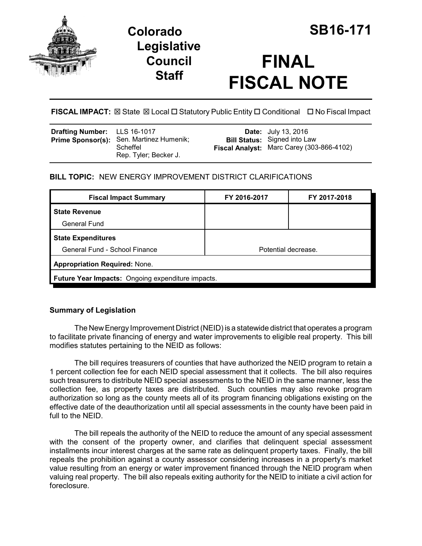



# **FINAL FISCAL NOTE**

**FISCAL IMPACT:** ⊠ State ⊠ Local □ Statutory Public Entity □ Conditional □ No Fiscal Impact

| <b>Drafting Number:</b> LLS 16-1017 | Prime Sponsor(s): Sen. Martinez Humenik;<br>Scheffel<br>Rep. Tyler; Becker J. |  | <b>Date:</b> July 13, 2016<br><b>Bill Status:</b> Signed into Law<br>Fiscal Analyst: Marc Carey (303-866-4102) |
|-------------------------------------|-------------------------------------------------------------------------------|--|----------------------------------------------------------------------------------------------------------------|
|-------------------------------------|-------------------------------------------------------------------------------|--|----------------------------------------------------------------------------------------------------------------|

## **BILL TOPIC:** NEW ENERGY IMPROVEMENT DISTRICT CLARIFICATIONS

| FY 2016-2017                                      | FY 2017-2018 |  |  |  |
|---------------------------------------------------|--------------|--|--|--|
|                                                   |              |  |  |  |
|                                                   |              |  |  |  |
|                                                   |              |  |  |  |
| Potential decrease.                               |              |  |  |  |
| <b>Appropriation Required: None.</b>              |              |  |  |  |
| Future Year Impacts: Ongoing expenditure impacts. |              |  |  |  |
|                                                   |              |  |  |  |

## **Summary of Legislation**

The New Energy Improvement District (NEID) is a statewide district that operates a program to facilitate private financing of energy and water improvements to eligible real property. This bill modifies statutes pertaining to the NEID as follows:

The bill requires treasurers of counties that have authorized the NEID program to retain a 1 percent collection fee for each NEID special assessment that it collects. The bill also requires such treasurers to distribute NEID special assessments to the NEID in the same manner, less the collection fee, as property taxes are distributed. Such counties may also revoke program authorization so long as the county meets all of its program financing obligations existing on the effective date of the deauthorization until all special assessments in the county have been paid in full to the NEID.

The bill repeals the authority of the NEID to reduce the amount of any special assessment with the consent of the property owner, and clarifies that delinquent special assessment installments incur interest charges at the same rate as delinquent property taxes. Finally, the bill repeals the prohibition against a county assessor considering increases in a property's market value resulting from an energy or water improvement financed through the NEID program when valuing real property. The bill also repeals exiting authority for the NEID to initiate a civil action for foreclosure.